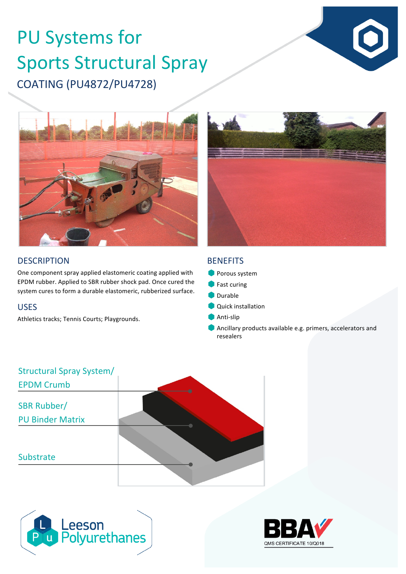# COATING (PU4872/PU4728) PU Systems for Sports Structural Spray





#### **DESCRIPTION**

One component spray applied elastomeric coating applied with EPDM rubber. Applied to SBR rubber shock pad. Once cured the system cures to form a durable elastomeric, rubberized surface.

#### USES

Athletics tracks; Tennis Courts; Playgrounds.

#### **BENEFITS**

- **Porous system**
- $\bullet$  Fast curing
- **Durable**
- **Quick installation**
- Anti-slip
- Ancillary products available e.g. primers, accelerators and resealers